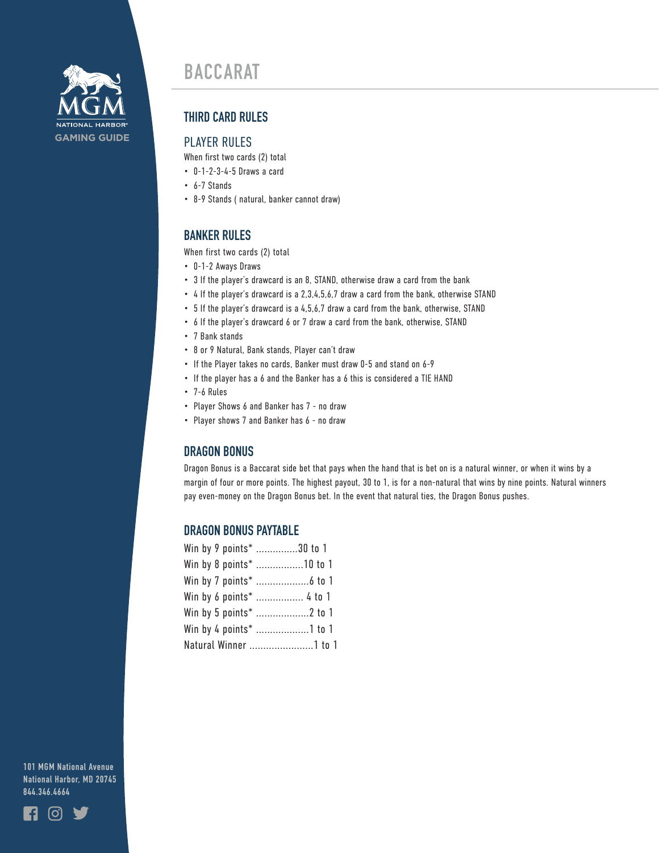

# **BACCARAT**

# **THIRD CARD RULES**

#### PLAYER RULES

When first two cards (2) total

- 0-1-2-3-4-5 Draws a card
- 6-7 Stands
- 8-9 Stands ( natural, banker cannot draw)

## **BANKER RULES**

When first two cards (2) total

- 0-1-2 Aways Draws
- 3 If the player's drawcard is an 8, STAND, otherwise draw a card from the bank
- 4 If the player's drawcard is a 2,3,4,5,6,7 draw a card from the bank, otherwise STAND
- 5 If the player's drawcard is a 4,5,6,7 draw a card from the bank, otherwise, STAND
- 6 If the player's drawcard 6 or 7 draw a card from the bank, otherwise, STAND
- 7 Bank stands
- 8 or 9 Natural, Bank stands, Player can't draw
- If the Player takes no cards, Banker must draw 0-5 and stand on 6-9
- If the player has a 6 and the Banker has a 6 this is considered a TIE HAND
- 7-6 Rules
- Player Shows 6 and Banker has 7 no draw
- Player shows 7 and Banker has 6 no draw

#### **DRAGON BONUS**

Dragon Bonus is a Baccarat side bet that pays when the hand that is bet on is a natural winner, or when it wins by a margin of four or more points. The highest payout, 30 to 1, is for a non-natural that wins by nine points. Natural winners pay even-money on the Dragon Bonus bet. In the event that natural ties, the Dragon Bonus pushes.

#### **DRAGON BONUS PAYTABLE**

| Win by 9 points* 30 to 1 |  |  |
|--------------------------|--|--|
| Win by 8 points* 10 to 1 |  |  |
|                          |  |  |
| Win by 6 points*  4 to 1 |  |  |
|                          |  |  |
| Win by 4 points* 1 to 1  |  |  |
| Natural Winner 1 to 1    |  |  |

**101 MGM National Avenue National Harbor, MD 20745 844.346.4664**